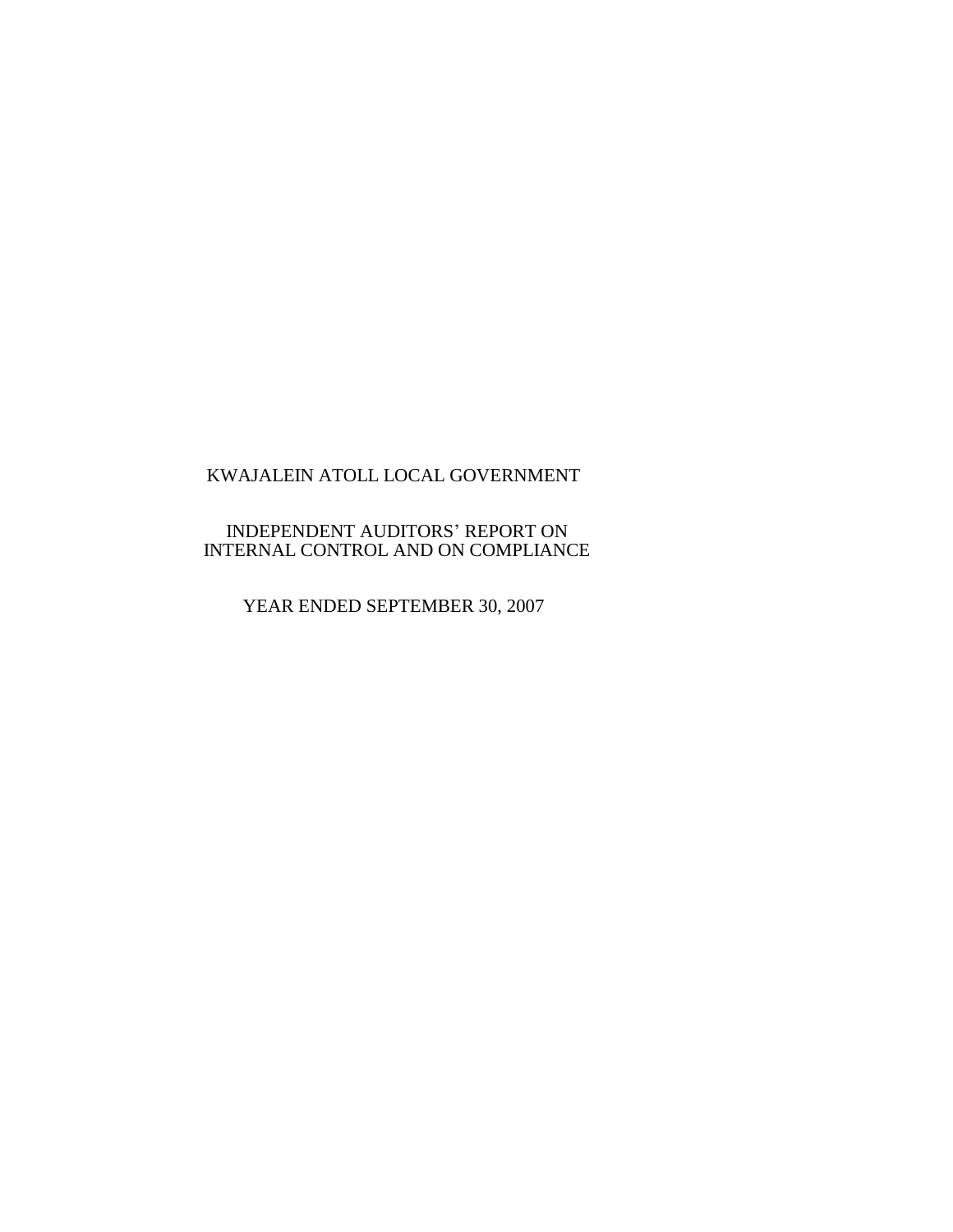## INDEPENDENT AUDITORS' REPORT ON INTERNAL CONTROL AND ON COMPLIANCE

YEAR ENDED SEPTEMBER 30, 2007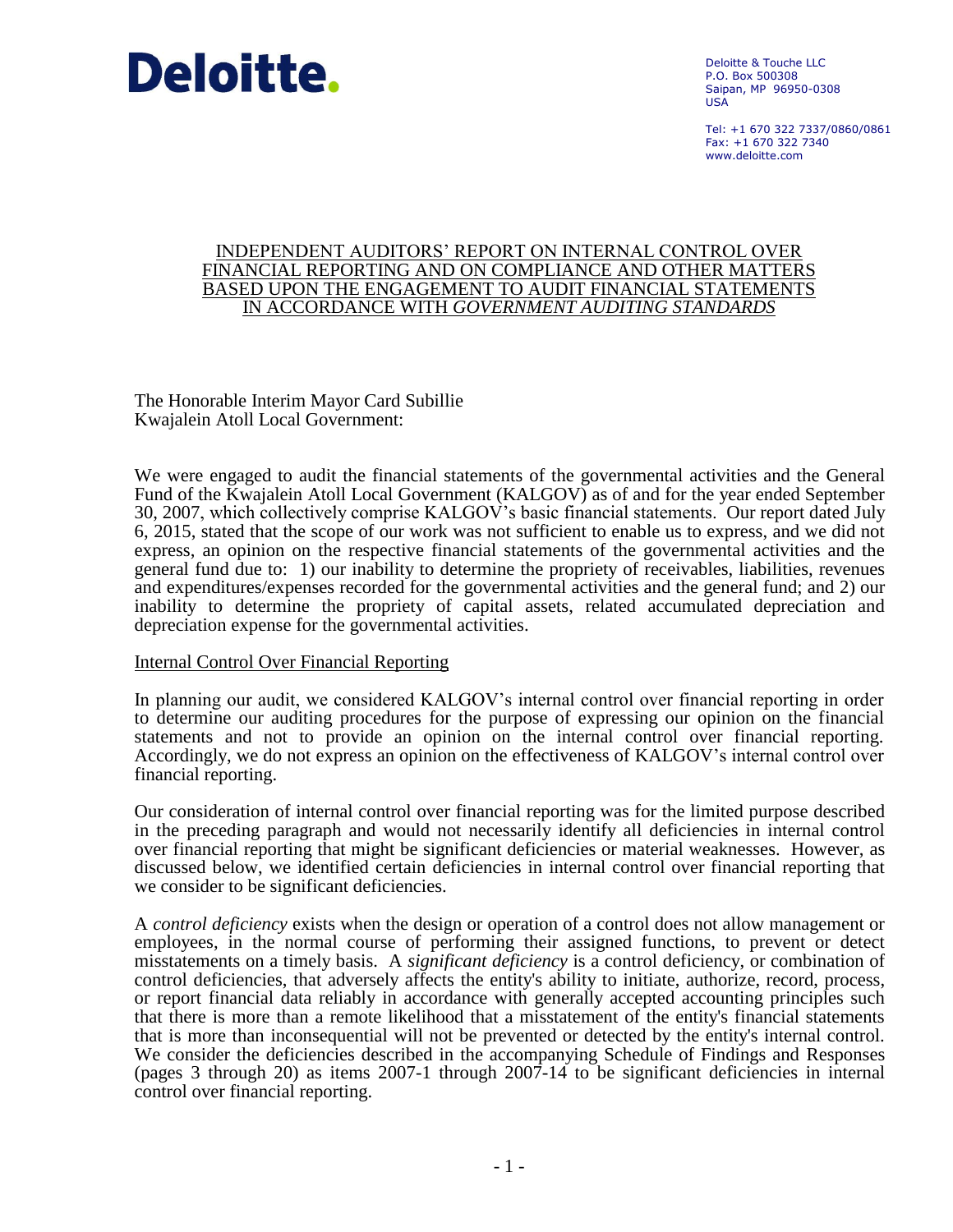

Deloitte & Touche LLC P.O. Box 500308 Saipan, MP 96950-0308 USA

Tel: +1 670 322 7337/0860/0861  $Fay: +1 670 322 7340$ www.deloitte.com

#### INDEPENDENT AUDITORS' REPORT ON INTERNAL CONTROL OVER FINANCIAL REPORTING AND ON COMPLIANCE AND OTHER MATTERS BASED UPON THE ENGAGEMENT TO AUDIT FINANCIAL STATEMENTS IN ACCORDANCE WITH *GOVERNMENT AUDITING STANDARDS*

The Honorable Interim Mayor Card Subillie Kwajalein Atoll Local Government:

We were engaged to audit the financial statements of the governmental activities and the General Fund of the Kwajalein Atoll Local Government (KALGOV) as of and for the year ended September 30, 2007, which collectively comprise KALGOV's basic financial statements. Our report dated July 6, 2015, stated that the scope of our work was not sufficient to enable us to express, and we did not express, an opinion on the respective financial statements of the governmental activities and the general fund due to: 1) our inability to determine the propriety of receivables, liabilities, revenues and expenditures/expenses recorded for the governmental activities and the general fund; and 2) our inability to determine the propriety of capital assets, related accumulated depreciation and depreciation expense for the governmental activities.

### Internal Control Over Financial Reporting

In planning our audit, we considered KALGOV's internal control over financial reporting in order to determine our auditing procedures for the purpose of expressing our opinion on the financial statements and not to provide an opinion on the internal control over financial reporting. Accordingly, we do not express an opinion on the effectiveness of KALGOV's internal control over financial reporting.

Our consideration of internal control over financial reporting was for the limited purpose described in the preceding paragraph and would not necessarily identify all deficiencies in internal control over financial reporting that might be significant deficiencies or material weaknesses. However, as discussed below, we identified certain deficiencies in internal control over financial reporting that we consider to be significant deficiencies.

A *control deficiency* exists when the design or operation of a control does not allow management or employees, in the normal course of performing their assigned functions, to prevent or detect misstatements on a timely basis. A *significant deficiency* is a control deficiency, or combination of control deficiencies, that adversely affects the entity's ability to initiate, authorize, record, process, or report financial data reliably in accordance with generally accepted accounting principles such that there is more than a remote likelihood that a misstatement of the entity's financial statements that is more than inconsequential will not be prevented or detected by the entity's internal control. We consider the deficiencies described in the accompanying Schedule of Findings and Responses (pages 3 through 20) as items 2007-1 through 2007-14 to be significant deficiencies in internal control over financial reporting.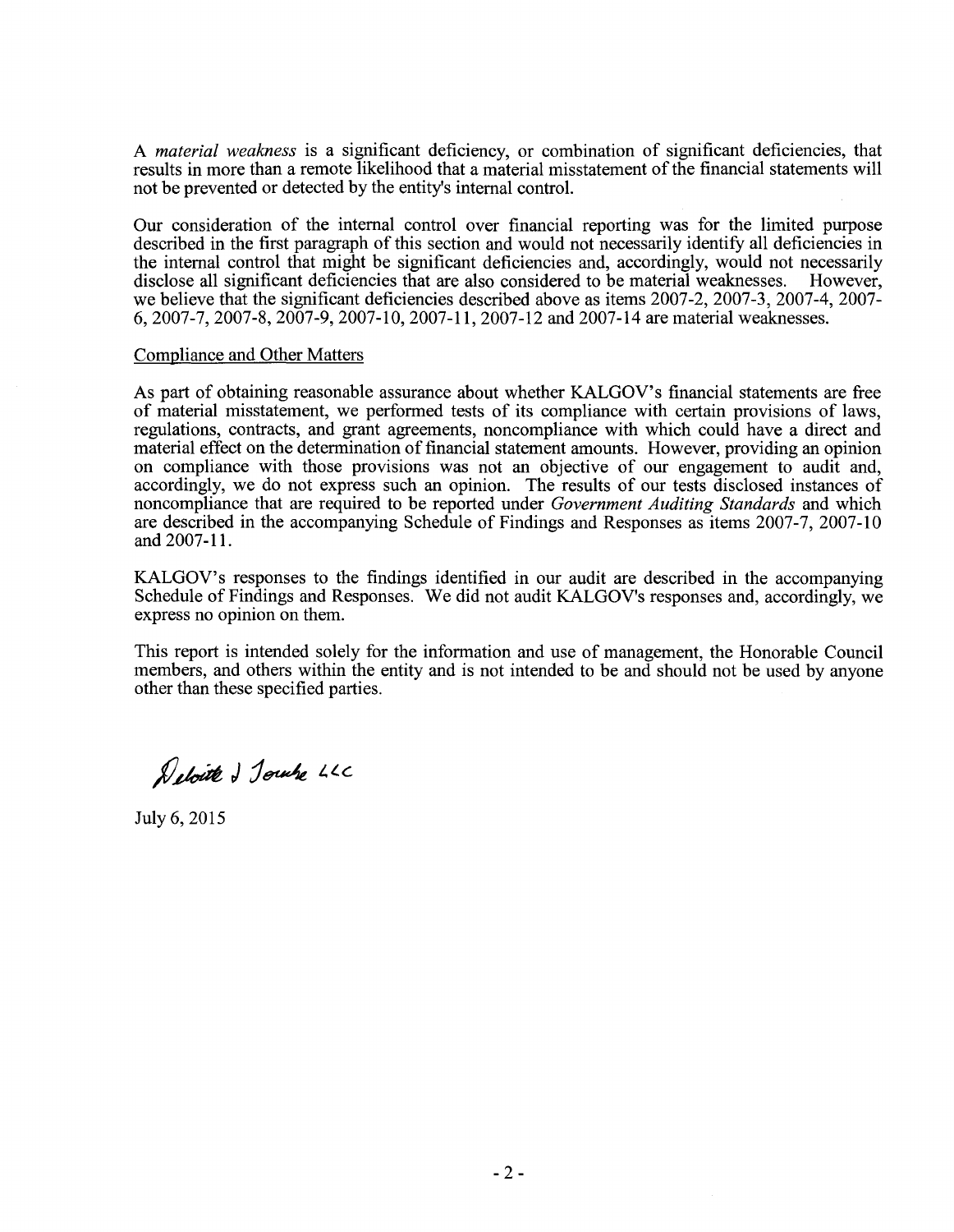A *material weakness* is a significant deficiency, or combination of significant deficiencies, that results in more than a remote likelihood that a material misstatement of the financial statements will not be prevented or detected by the entity's internal control.

Our consideration of the internal control over financial reporting was for the limited purpose described in the first paragraph of this section and would not necessarily identify all deficiencies in the internal control that might be significant deficiencies and, accordingly, would not necessarily disclose all significant deficiencies that are also considered to be material weaknesses. However, disclose all significant deficiencies that are also considered to be material weaknesses. we believe that the significant deficiencies described above as items 2007-2, 2007-3, 2007-4, 2007- 6, 2007-7, 2007-8, 2007-9, 2007-10, 2007-11, 2007-12 and 2007-14 are material weaknesses.

#### Compliance and Other Matters

As part of obtaining reasonable assurance about whether KALGOV's financial statements are free of material misstatement, we performed tests of its compliance with certain provisions of laws, regulations, contracts, and grant agreements, noncompliance with which could have a direct and material effect on the determination of financial statement amounts. However, providing an opinion on compliance with those provisions was not an objective of our engagement to audit and, accordingly, we do not express such an opinion. The results of our tests disclosed instances of noncompliance that are required to be reported under *Government Auditing Standards* and which are described in the accompanying Schedule of Findings and Responses as items 2007-7, 2007-10 and 2007-11.

KALGOV's responses to the findings identified in our audit are described in the accompanying Schedule of Findings and Responses. We did not audit KALGOV's responses and, accordingly, we express no opinion on them.

This report is intended solely for the information and use of management, the Honorable Council members, and others within the entity and is not intended to be and should not be used by anyone other than these specified parties.

Deloite & Journe LLC

July 6,2015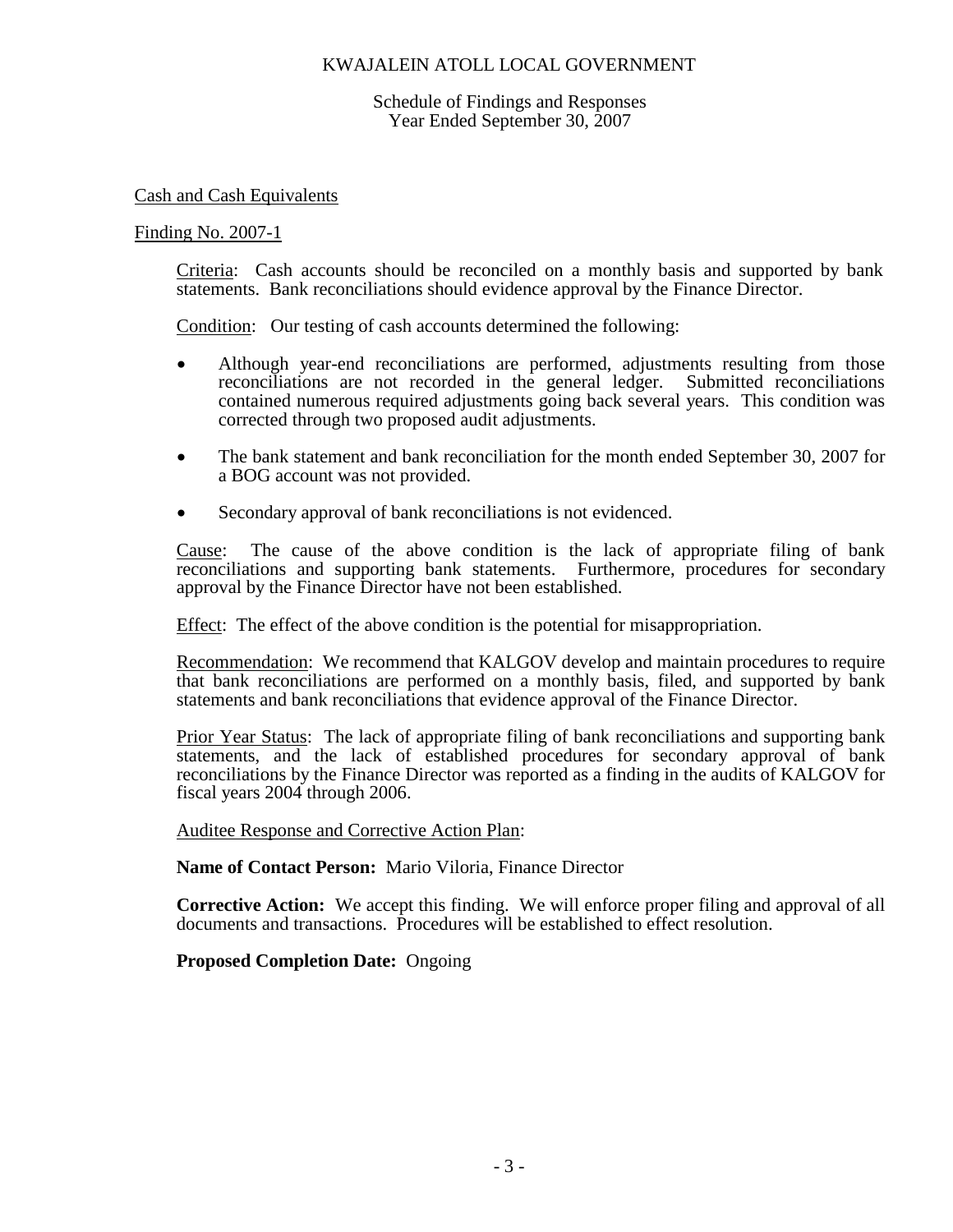Schedule of Findings and Responses Year Ended September 30, 2007

Cash and Cash Equivalents

#### Finding No. 2007-1

Criteria: Cash accounts should be reconciled on a monthly basis and supported by bank statements. Bank reconciliations should evidence approval by the Finance Director.

Condition: Our testing of cash accounts determined the following:

- Although year-end reconciliations are performed, adjustments resulting from those reconciliations are not recorded in the general ledger. Submitted reconciliations contained numerous required adjustments going back several years. This condition was corrected through two proposed audit adjustments.
- The bank statement and bank reconciliation for the month ended September 30, 2007 for a BOG account was not provided.
- Secondary approval of bank reconciliations is not evidenced.

Cause: The cause of the above condition is the lack of appropriate filing of bank reconciliations and supporting bank statements. Furthermore, procedures for secondary approval by the Finance Director have not been established.

Effect: The effect of the above condition is the potential for misappropriation.

Recommendation: We recommend that KALGOV develop and maintain procedures to require that bank reconciliations are performed on a monthly basis, filed, and supported by bank statements and bank reconciliations that evidence approval of the Finance Director.

Prior Year Status: The lack of appropriate filing of bank reconciliations and supporting bank statements, and the lack of established procedures for secondary approval of bank reconciliations by the Finance Director was reported as a finding in the audits of KALGOV for fiscal years 2004 through 2006.

Auditee Response and Corrective Action Plan:

**Name of Contact Person:** Mario Viloria, Finance Director

**Corrective Action:** We accept this finding. We will enforce proper filing and approval of all documents and transactions. Procedures will be established to effect resolution.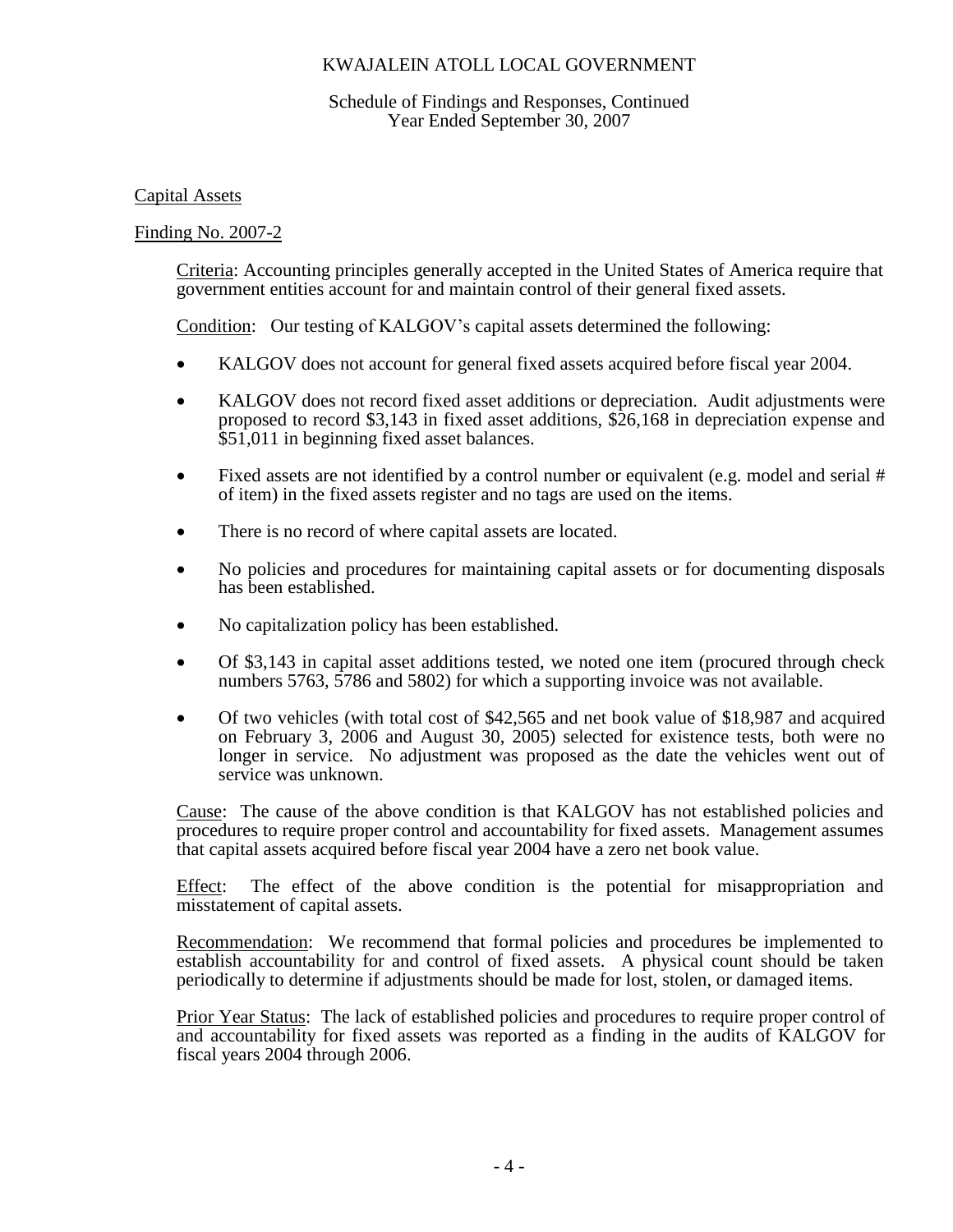## Schedule of Findings and Responses, Continued Year Ended September 30, 2007

## Capital Assets

## Finding No. 2007-2

Criteria: Accounting principles generally accepted in the United States of America require that government entities account for and maintain control of their general fixed assets.

Condition: Our testing of KALGOV's capital assets determined the following:

- KALGOV does not account for general fixed assets acquired before fiscal year 2004.
- KALGOV does not record fixed asset additions or depreciation. Audit adjustments were proposed to record \$3,143 in fixed asset additions, \$26,168 in depreciation expense and \$51,011 in beginning fixed asset balances.
- Fixed assets are not identified by a control number or equivalent (e.g. model and serial # of item) in the fixed assets register and no tags are used on the items.
- There is no record of where capital assets are located.
- No policies and procedures for maintaining capital assets or for documenting disposals has been established.
- No capitalization policy has been established.
- Of \$3,143 in capital asset additions tested, we noted one item (procured through check numbers 5763, 5786 and 5802) for which a supporting invoice was not available.
- Of two vehicles (with total cost of \$42,565 and net book value of \$18,987 and acquired on February 3, 2006 and August 30, 2005) selected for existence tests, both were no longer in service. No adjustment was proposed as the date the vehicles went out of service was unknown.

Cause: The cause of the above condition is that KALGOV has not established policies and procedures to require proper control and accountability for fixed assets. Management assumes that capital assets acquired before fiscal year 2004 have a zero net book value.

Effect: The effect of the above condition is the potential for misappropriation and misstatement of capital assets.

Recommendation: We recommend that formal policies and procedures be implemented to establish accountability for and control of fixed assets. A physical count should be taken periodically to determine if adjustments should be made for lost, stolen, or damaged items.

Prior Year Status: The lack of established policies and procedures to require proper control of and accountability for fixed assets was reported as a finding in the audits of KALGOV for fiscal years 2004 through 2006.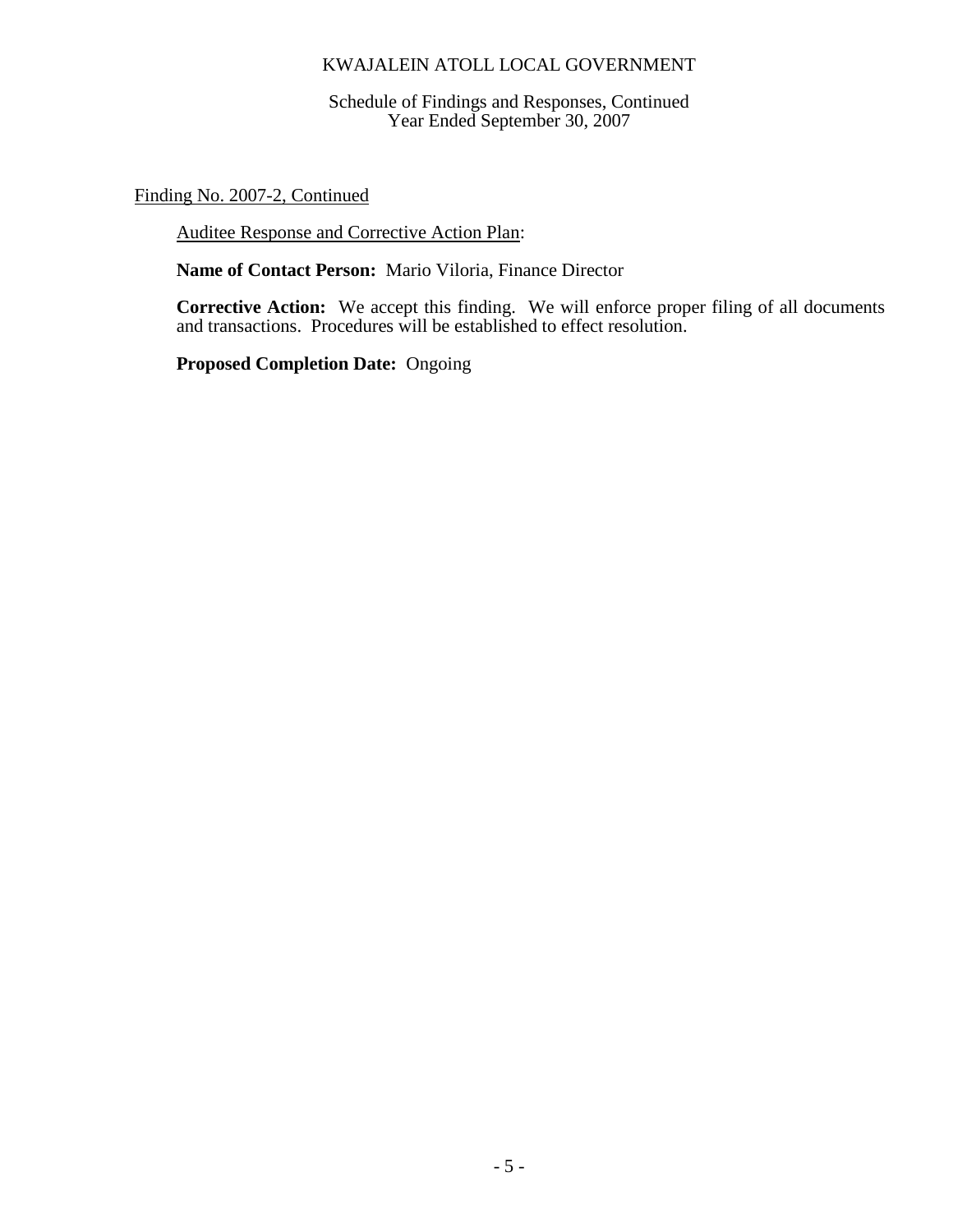Schedule of Findings and Responses, Continued Year Ended September 30, 2007

Finding No. 2007-2, Continued

Auditee Response and Corrective Action Plan:

**Name of Contact Person:** Mario Viloria, Finance Director

**Corrective Action:** We accept this finding. We will enforce proper filing of all documents and transactions. Procedures will be established to effect resolution.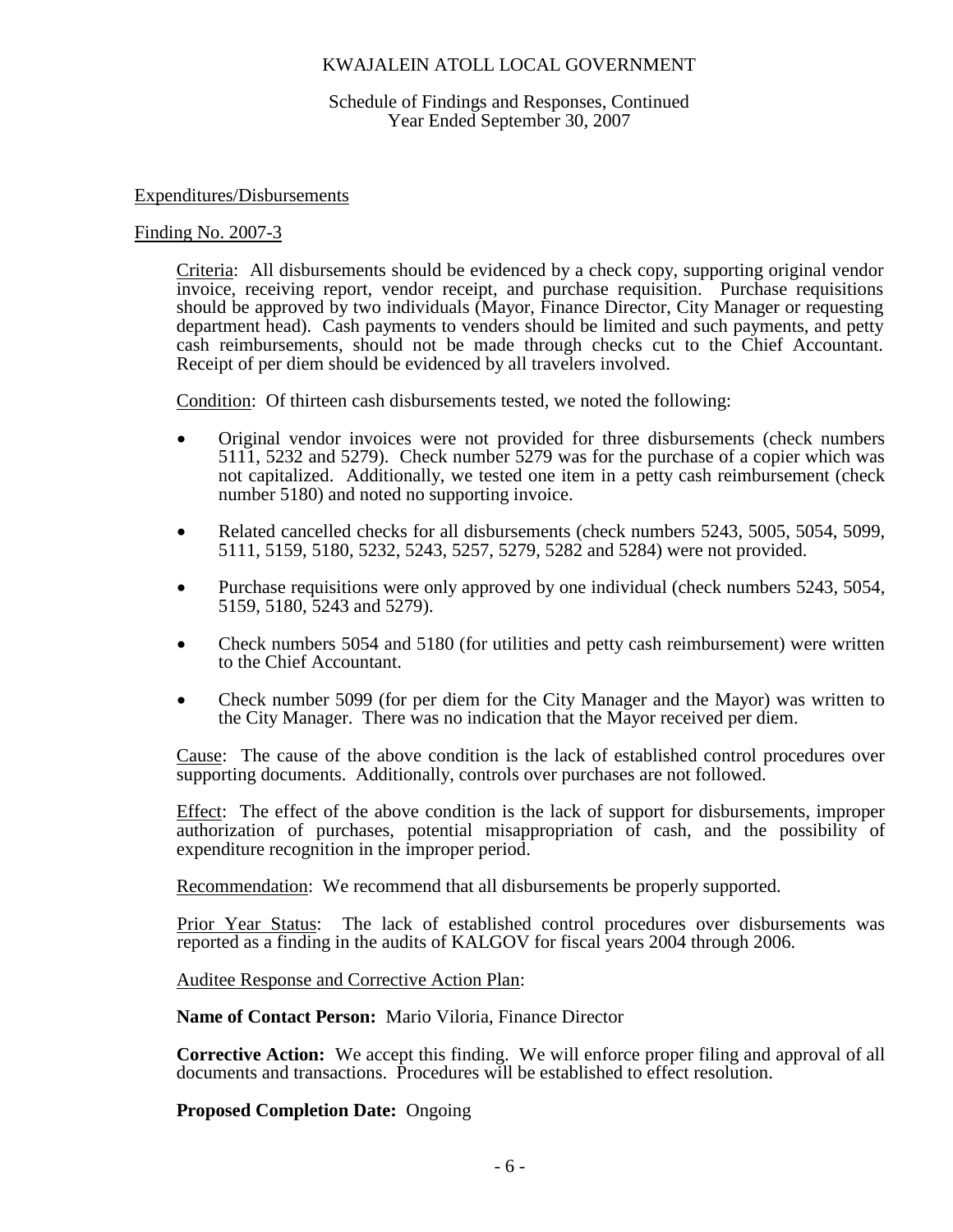Schedule of Findings and Responses, Continued Year Ended September 30, 2007

#### Expenditures/Disbursements

#### Finding No. 2007-3

Criteria: All disbursements should be evidenced by a check copy, supporting original vendor invoice, receiving report, vendor receipt, and purchase requisition. Purchase requisitions should be approved by two individuals (Mayor, Finance Director, City Manager or requesting department head). Cash payments to venders should be limited and such payments, and petty cash reimbursements, should not be made through checks cut to the Chief Accountant. Receipt of per diem should be evidenced by all travelers involved.

Condition: Of thirteen cash disbursements tested, we noted the following:

- Original vendor invoices were not provided for three disbursements (check numbers 5111, 5232 and 5279). Check number 5279 was for the purchase of a copier which was not capitalized. Additionally, we tested one item in a petty cash reimbursement (check number 5180) and noted no supporting invoice.
- Related cancelled checks for all disbursements (check numbers 5243, 5005, 5054, 5099, 5111, 5159, 5180, 5232, 5243, 5257, 5279, 5282 and 5284) were not provided.
- Purchase requisitions were only approved by one individual (check numbers 5243, 5054, 5159, 5180, 5243 and 5279).
- Check numbers 5054 and 5180 (for utilities and petty cash reimbursement) were written to the Chief Accountant.
- Check number 5099 (for per diem for the City Manager and the Mayor) was written to the City Manager. There was no indication that the Mayor received per diem.

Cause: The cause of the above condition is the lack of established control procedures over supporting documents. Additionally, controls over purchases are not followed.

Effect: The effect of the above condition is the lack of support for disbursements, improper authorization of purchases, potential misappropriation of cash, and the possibility of expenditure recognition in the improper period.

Recommendation: We recommend that all disbursements be properly supported.

Prior Year Status: The lack of established control procedures over disbursements was reported as a finding in the audits of KALGOV for fiscal years 2004 through 2006.

Auditee Response and Corrective Action Plan:

**Name of Contact Person:** Mario Viloria, Finance Director

**Corrective Action:** We accept this finding. We will enforce proper filing and approval of all documents and transactions. Procedures will be established to effect resolution.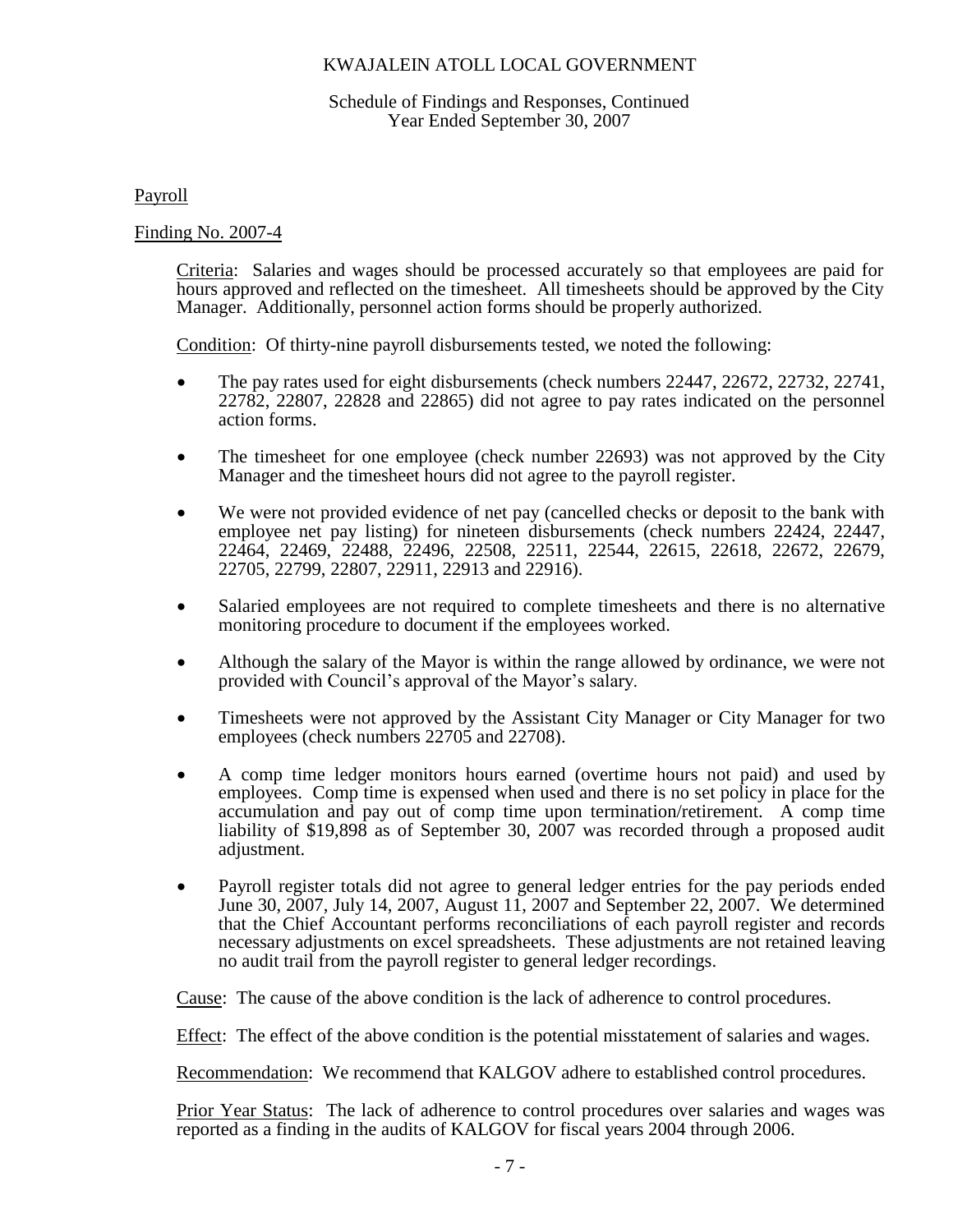### Schedule of Findings and Responses, Continued Year Ended September 30, 2007

Payroll

### Finding No. 2007-4

Criteria: Salaries and wages should be processed accurately so that employees are paid for hours approved and reflected on the timesheet. All timesheets should be approved by the City Manager. Additionally, personnel action forms should be properly authorized.

Condition: Of thirty-nine payroll disbursements tested, we noted the following:

- The pay rates used for eight disbursements (check numbers 22447, 22672, 22732, 22741, 22782, 22807, 22828 and 22865) did not agree to pay rates indicated on the personnel action forms.
- The timesheet for one employee (check number 22693) was not approved by the City Manager and the timesheet hours did not agree to the payroll register.
- We were not provided evidence of net pay (cancelled checks or deposit to the bank with employee net pay listing) for nineteen disbursements (check numbers 22424, 22447, 22464, 22469, 22488, 22496, 22508, 22511, 22544, 22615, 22618, 22672, 22679, 22705, 22799, 22807, 22911, 22913 and 22916).
- Salaried employees are not required to complete timesheets and there is no alternative monitoring procedure to document if the employees worked.
- Although the salary of the Mayor is within the range allowed by ordinance, we were not provided with Council's approval of the Mayor's salary.
- Timesheets were not approved by the Assistant City Manager or City Manager for two employees (check numbers 22705 and 22708).
- A comp time ledger monitors hours earned (overtime hours not paid) and used by employees. Comp time is expensed when used and there is no set policy in place for the accumulation and pay out of comp time upon termination/retirement. A comp time liability of \$19,898 as of September 30, 2007 was recorded through a proposed audit adjustment.
- Payroll register totals did not agree to general ledger entries for the pay periods ended June 30, 2007, July 14, 2007, August 11, 2007 and September 22, 2007. We determined that the Chief Accountant performs reconciliations of each payroll register and records necessary adjustments on excel spreadsheets. These adjustments are not retained leaving no audit trail from the payroll register to general ledger recordings.

Cause: The cause of the above condition is the lack of adherence to control procedures.

Effect: The effect of the above condition is the potential misstatement of salaries and wages.

Recommendation: We recommend that KALGOV adhere to established control procedures.

Prior Year Status: The lack of adherence to control procedures over salaries and wages was reported as a finding in the audits of KALGOV for fiscal years 2004 through 2006.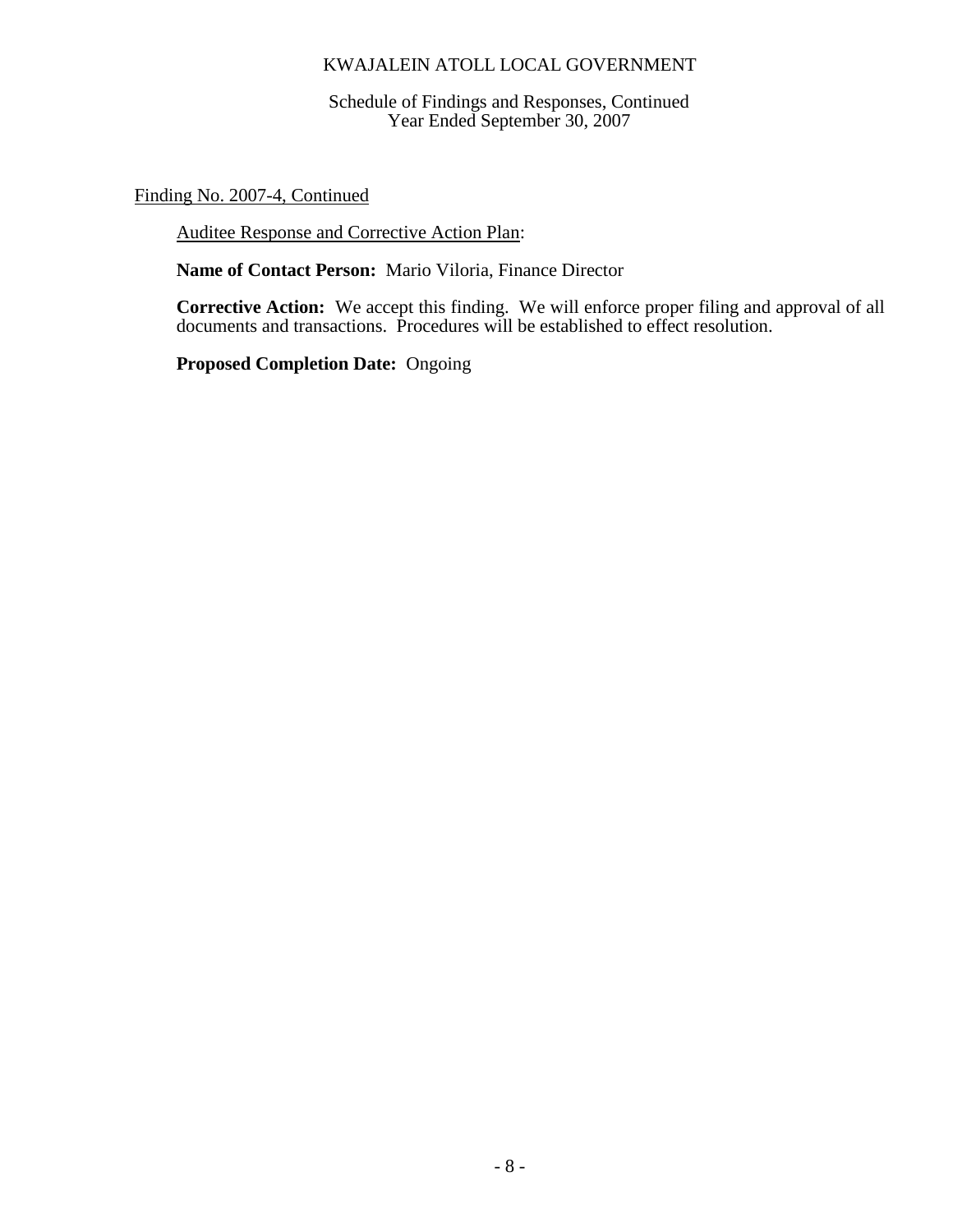Schedule of Findings and Responses, Continued Year Ended September 30, 2007

Finding No. 2007-4, Continued

Auditee Response and Corrective Action Plan:

**Name of Contact Person:** Mario Viloria, Finance Director

**Corrective Action:** We accept this finding. We will enforce proper filing and approval of all documents and transactions. Procedures will be established to effect resolution.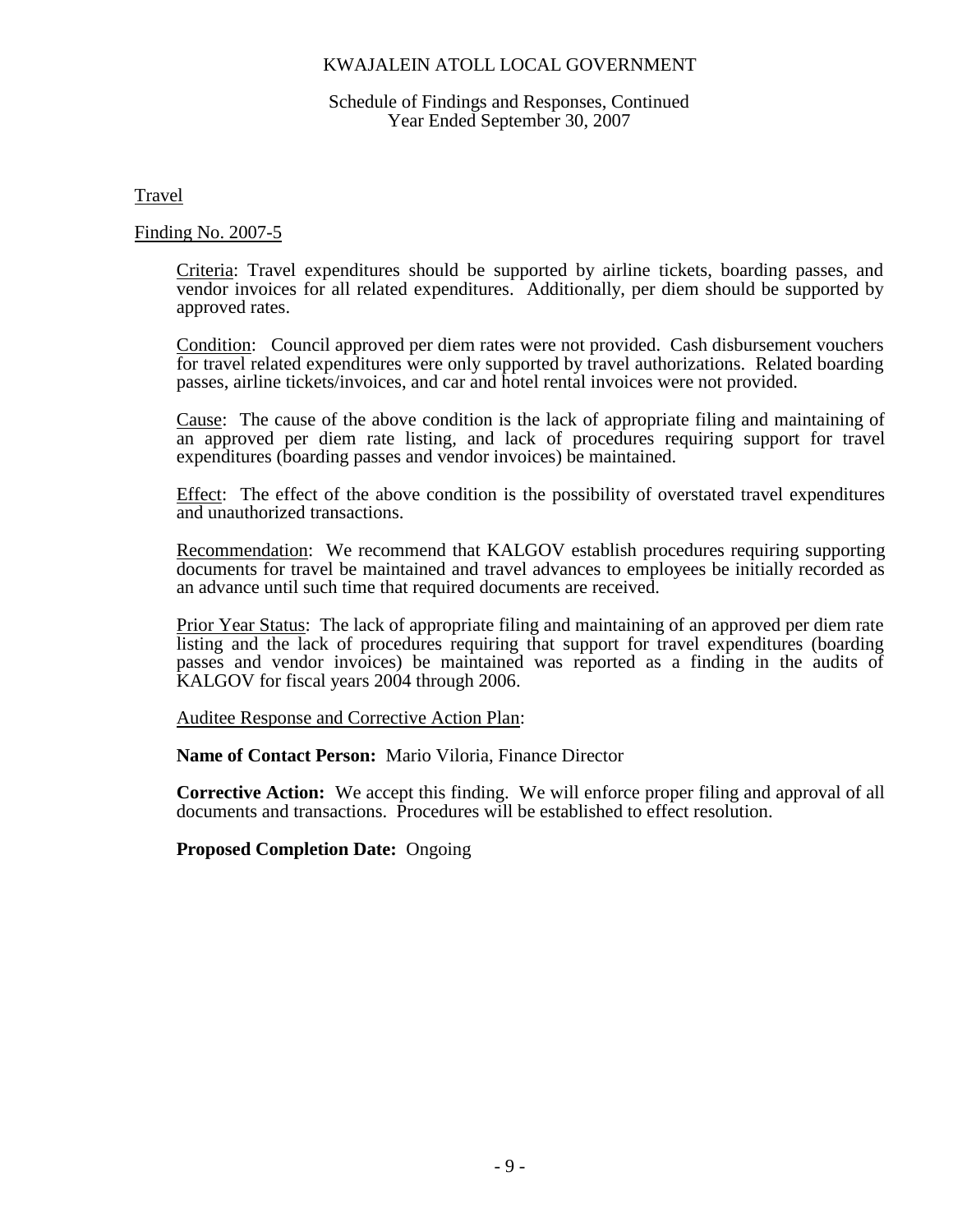#### Schedule of Findings and Responses, Continued Year Ended September 30, 2007

Travel

### Finding No. 2007-5

Criteria: Travel expenditures should be supported by airline tickets, boarding passes, and vendor invoices for all related expenditures. Additionally, per diem should be supported by approved rates.

Condition: Council approved per diem rates were not provided. Cash disbursement vouchers for travel related expenditures were only supported by travel authorizations. Related boarding passes, airline tickets/invoices, and car and hotel rental invoices were not provided.

Cause: The cause of the above condition is the lack of appropriate filing and maintaining of an approved per diem rate listing, and lack of procedures requiring support for travel expenditures (boarding passes and vendor invoices) be maintained.

Effect: The effect of the above condition is the possibility of overstated travel expenditures and unauthorized transactions.

Recommendation: We recommend that KALGOV establish procedures requiring supporting documents for travel be maintained and travel advances to employees be initially recorded as an advance until such time that required documents are received.

Prior Year Status: The lack of appropriate filing and maintaining of an approved per diem rate listing and the lack of procedures requiring that support for travel expenditures (boarding passes and vendor invoices) be maintained was reported as a finding in the audits of KALGOV for fiscal years 2004 through 2006.

Auditee Response and Corrective Action Plan:

**Name of Contact Person:** Mario Viloria, Finance Director

**Corrective Action:** We accept this finding. We will enforce proper filing and approval of all documents and transactions. Procedures will be established to effect resolution.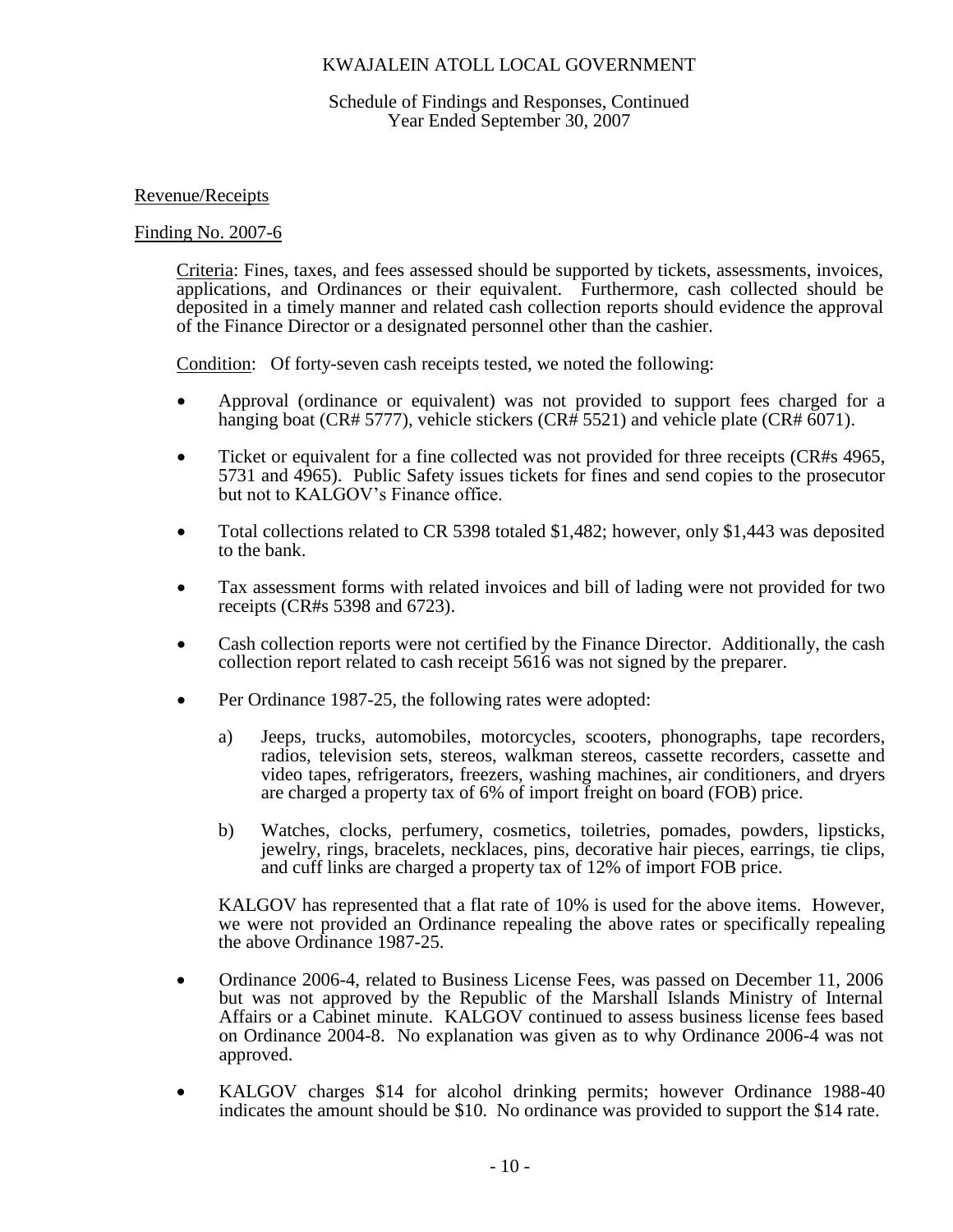### Schedule of Findings and Responses, Continued Year Ended September 30, 2007

## Revenue/Receipts

### Finding No. 2007-6

Criteria: Fines, taxes, and fees assessed should be supported by tickets, assessments, invoices, applications, and Ordinances or their equivalent. Furthermore, cash collected should be deposited in a timely manner and related cash collection reports should evidence the approval of the Finance Director or a designated personnel other than the cashier.

Condition: Of forty-seven cash receipts tested, we noted the following:

- Approval (ordinance or equivalent) was not provided to support fees charged for a hanging boat (CR# 5777), vehicle stickers (CR# 5521) and vehicle plate (CR# 6071).
- Ticket or equivalent for a fine collected was not provided for three receipts (CR#s 4965, 5731 and 4965). Public Safety issues tickets for fines and send copies to the prosecutor but not to KALGOV's Finance office.
- Total collections related to CR 5398 totaled \$1,482; however, only \$1,443 was deposited to the bank.
- Tax assessment forms with related invoices and bill of lading were not provided for two receipts (CR#s 5398 and 6723).
- Cash collection reports were not certified by the Finance Director. Additionally, the cash collection report related to cash receipt 5616 was not signed by the preparer.
- Per Ordinance 1987-25, the following rates were adopted:
	- a) Jeeps, trucks, automobiles, motorcycles, scooters, phonographs, tape recorders, radios, television sets, stereos, walkman stereos, cassette recorders, cassette and video tapes, refrigerators, freezers, washing machines, air conditioners, and dryers are charged a property tax of 6% of import freight on board (FOB) price.
	- b) Watches, clocks, perfumery, cosmetics, toiletries, pomades, powders, lipsticks, jewelry, rings, bracelets, necklaces, pins, decorative hair pieces, earrings, tie clips, and cuff links are charged a property tax of 12% of import FOB price.

KALGOV has represented that a flat rate of 10% is used for the above items. However, we were not provided an Ordinance repealing the above rates or specifically repealing the above Ordinance 1987-25.

- Ordinance 2006-4, related to Business License Fees, was passed on December 11, 2006 but was not approved by the Republic of the Marshall Islands Ministry of Internal Affairs or a Cabinet minute. KALGOV continued to assess business license fees based on Ordinance 2004-8. No explanation was given as to why Ordinance 2006-4 was not approved.
- KALGOV charges \$14 for alcohol drinking permits; however Ordinance 1988-40 indicates the amount should be \$10. No ordinance was provided to support the \$14 rate.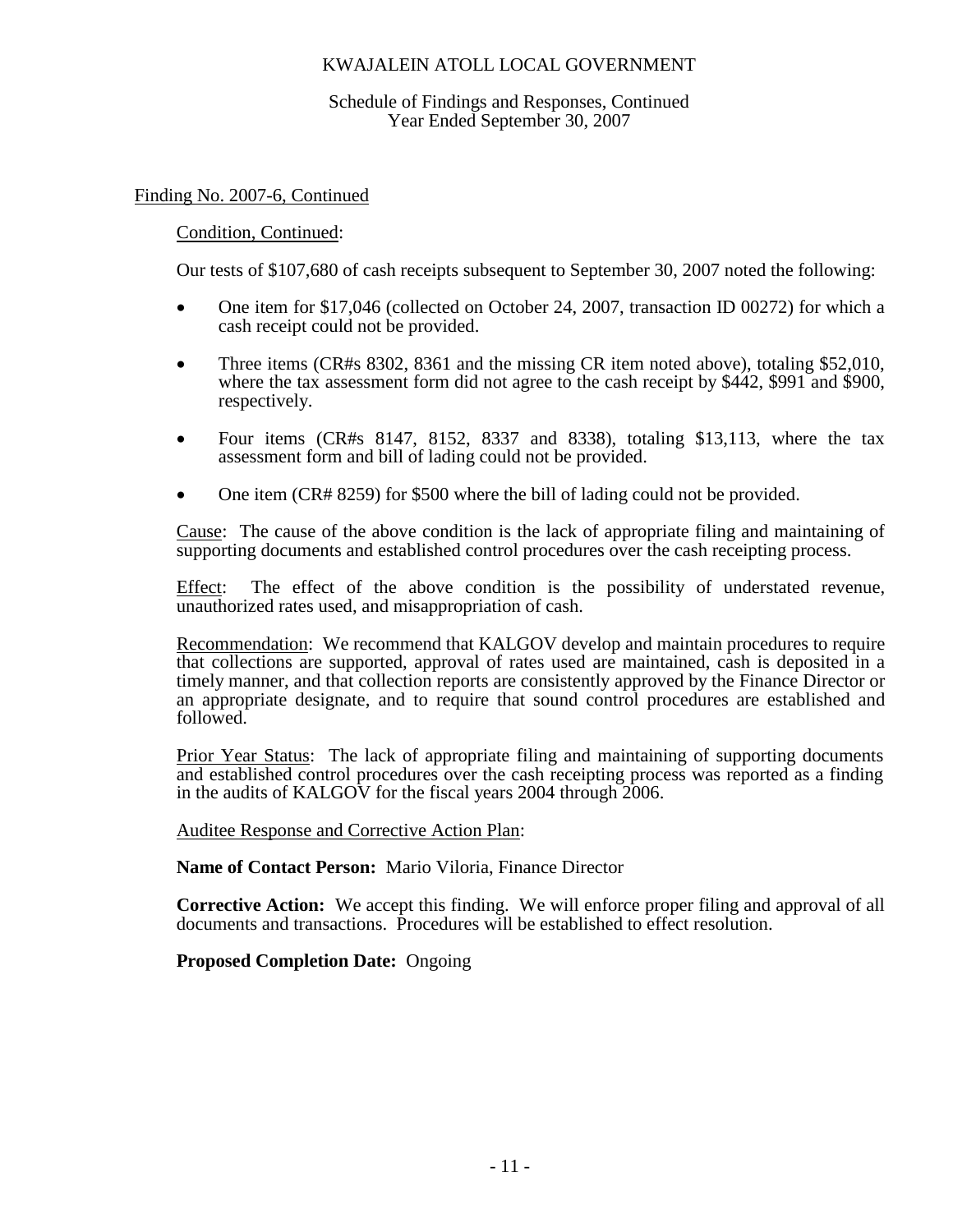Schedule of Findings and Responses, Continued Year Ended September 30, 2007

## Finding No. 2007-6, Continued

## Condition, Continued:

Our tests of \$107,680 of cash receipts subsequent to September 30, 2007 noted the following:

- One item for \$17,046 (collected on October 24, 2007, transaction ID 00272) for which a cash receipt could not be provided.
- Three items (CR#s 8302, 8361 and the missing CR item noted above), totaling \$52,010, where the tax assessment form did not agree to the cash receipt by \$442, \$991 and \$900, respectively.
- Four items  $(CR#s 8147, 8152, 8337, 8338)$ , totaling \$13,113, where the tax assessment form and bill of lading could not be provided.
- One item (CR# 8259) for \$500 where the bill of lading could not be provided.

Cause: The cause of the above condition is the lack of appropriate filing and maintaining of supporting documents and established control procedures over the cash receipting process.

Effect: The effect of the above condition is the possibility of understated revenue, unauthorized rates used, and misappropriation of cash.

Recommendation: We recommend that KALGOV develop and maintain procedures to require that collections are supported, approval of rates used are maintained, cash is deposited in a timely manner, and that collection reports are consistently approved by the Finance Director or an appropriate designate, and to require that sound control procedures are established and followed.

Prior Year Status: The lack of appropriate filing and maintaining of supporting documents and established control procedures over the cash receipting process was reported as a finding in the audits of KALGOV for the fiscal years 2004 through 2006.

Auditee Response and Corrective Action Plan:

**Name of Contact Person:** Mario Viloria, Finance Director

**Corrective Action:** We accept this finding. We will enforce proper filing and approval of all documents and transactions. Procedures will be established to effect resolution.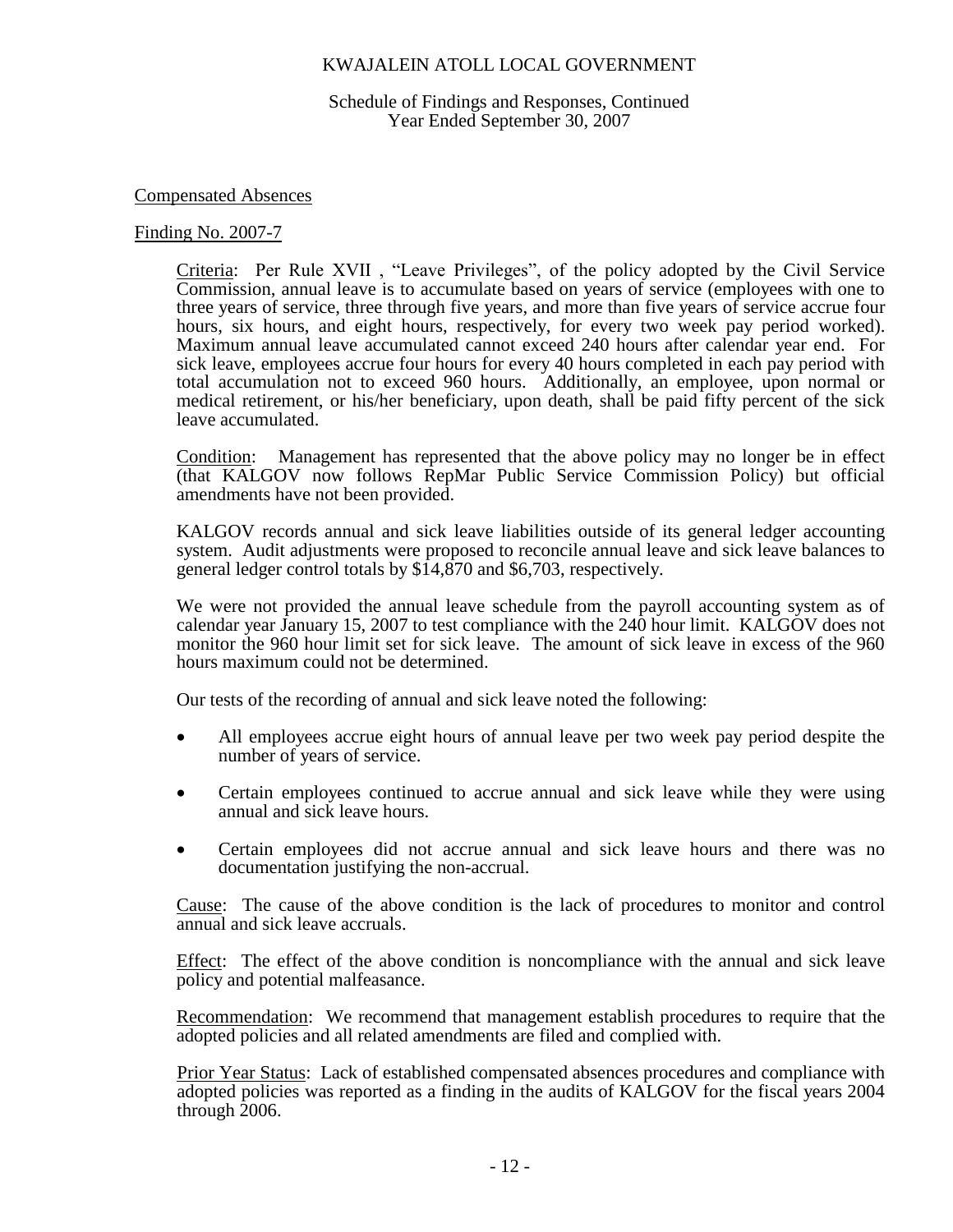Schedule of Findings and Responses, Continued Year Ended September 30, 2007

#### Compensated Absences

#### Finding No. 2007-7

Criteria: Per Rule XVII , "Leave Privileges", of the policy adopted by the Civil Service Commission, annual leave is to accumulate based on years of service (employees with one to three years of service, three through five years, and more than five years of service accrue four hours, six hours, and eight hours, respectively, for every two week pay period worked). Maximum annual leave accumulated cannot exceed 240 hours after calendar year end. For sick leave, employees accrue four hours for every 40 hours completed in each pay period with total accumulation not to exceed 960 hours. Additionally, an employee, upon normal or medical retirement, or his/her beneficiary, upon death, shall be paid fifty percent of the sick leave accumulated.

Condition: Management has represented that the above policy may no longer be in effect (that KALGOV now follows RepMar Public Service Commission Policy) but official amendments have not been provided.

KALGOV records annual and sick leave liabilities outside of its general ledger accounting system. Audit adjustments were proposed to reconcile annual leave and sick leave balances to general ledger control totals by \$14,870 and \$6,703, respectively.

We were not provided the annual leave schedule from the payroll accounting system as of calendar year January 15, 2007 to test compliance with the 240 hour limit. KALGOV does not monitor the 960 hour limit set for sick leave. The amount of sick leave in excess of the 960 hours maximum could not be determined.

Our tests of the recording of annual and sick leave noted the following:

- All employees accrue eight hours of annual leave per two week pay period despite the number of years of service.
- Certain employees continued to accrue annual and sick leave while they were using annual and sick leave hours.
- Certain employees did not accrue annual and sick leave hours and there was no documentation justifying the non-accrual.

Cause: The cause of the above condition is the lack of procedures to monitor and control annual and sick leave accruals.

Effect: The effect of the above condition is noncompliance with the annual and sick leave policy and potential malfeasance.

Recommendation: We recommend that management establish procedures to require that the adopted policies and all related amendments are filed and complied with.

Prior Year Status: Lack of established compensated absences procedures and compliance with adopted policies was reported as a finding in the audits of KALGOV for the fiscal years 2004 through 2006.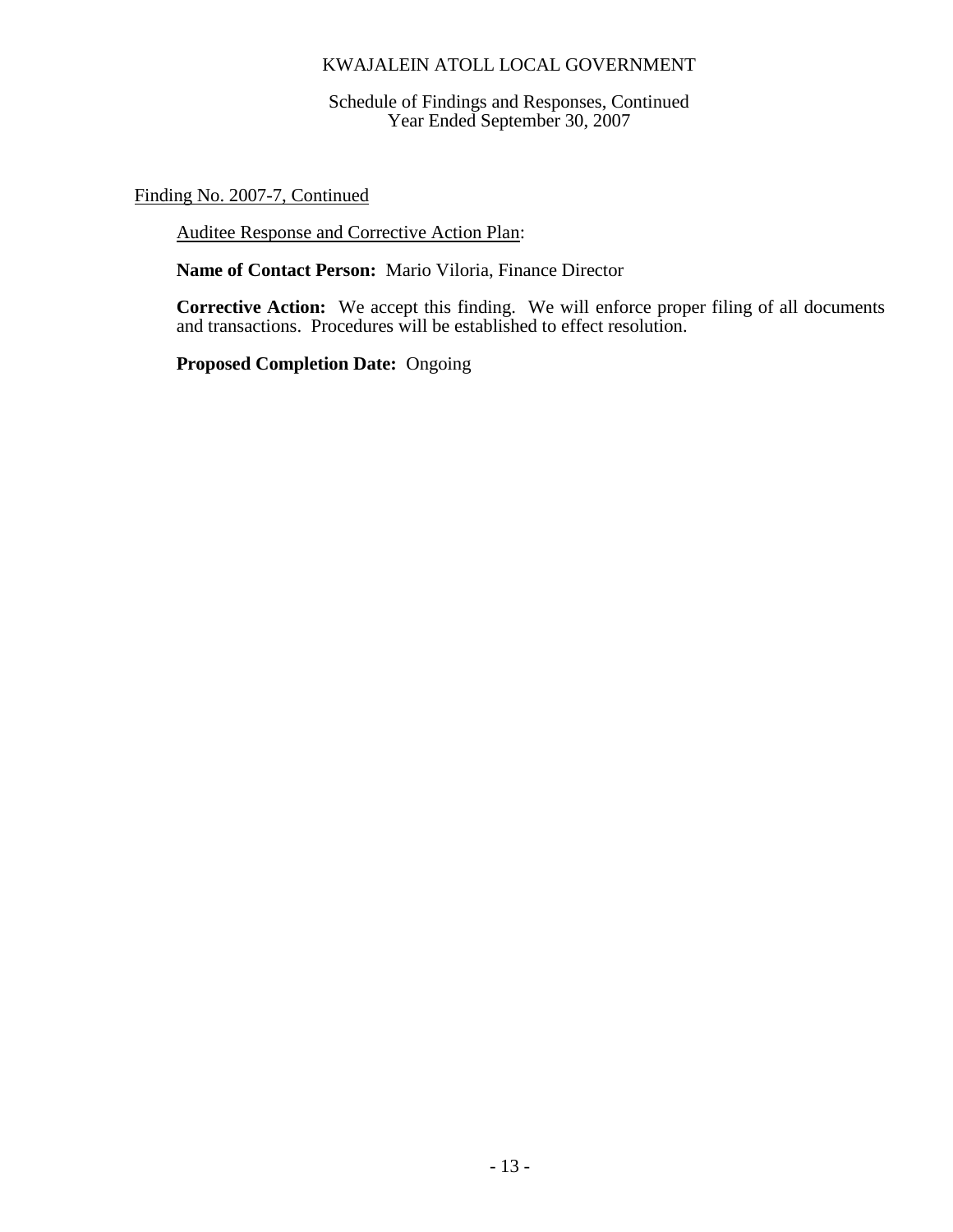Schedule of Findings and Responses, Continued Year Ended September 30, 2007

Finding No. 2007-7, Continued

Auditee Response and Corrective Action Plan:

**Name of Contact Person:** Mario Viloria, Finance Director

**Corrective Action:** We accept this finding. We will enforce proper filing of all documents and transactions. Procedures will be established to effect resolution.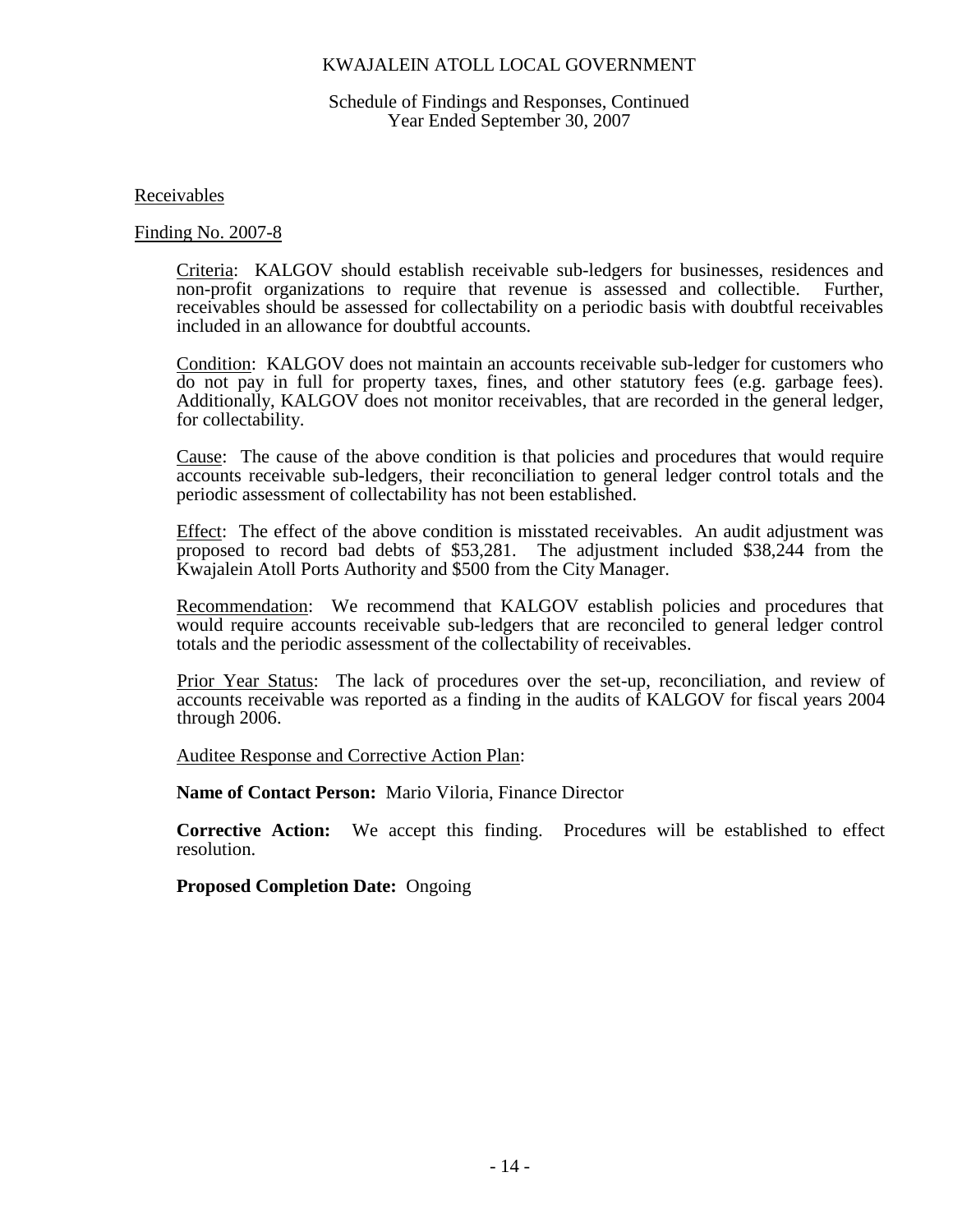### Schedule of Findings and Responses, Continued Year Ended September 30, 2007

Receivables

Finding No. 2007-8

Criteria: KALGOV should establish receivable sub-ledgers for businesses, residences and non-profit organizations to require that revenue is assessed and collectible. Further, receivables should be assessed for collectability on a periodic basis with doubtful receivables included in an allowance for doubtful accounts.

Condition: KALGOV does not maintain an accounts receivable sub-ledger for customers who do not pay in full for property taxes, fines, and other statutory fees (e.g. garbage fees). Additionally, KALGOV does not monitor receivables, that are recorded in the general ledger, for collectability.

Cause: The cause of the above condition is that policies and procedures that would require accounts receivable sub-ledgers, their reconciliation to general ledger control totals and the periodic assessment of collectability has not been established.

Effect: The effect of the above condition is misstated receivables. An audit adjustment was proposed to record bad debts of \$53,281. The adjustment included \$38,244 from the Kwajalein Atoll Ports Authority and \$500 from the City Manager.

Recommendation: We recommend that KALGOV establish policies and procedures that would require accounts receivable sub-ledgers that are reconciled to general ledger control totals and the periodic assessment of the collectability of receivables.

Prior Year Status: The lack of procedures over the set-up, reconciliation, and review of accounts receivable was reported as a finding in the audits of KALGOV for fiscal years 2004 through 2006.

Auditee Response and Corrective Action Plan:

**Name of Contact Person:** Mario Viloria, Finance Director

**Corrective Action:** We accept this finding. Procedures will be established to effect resolution.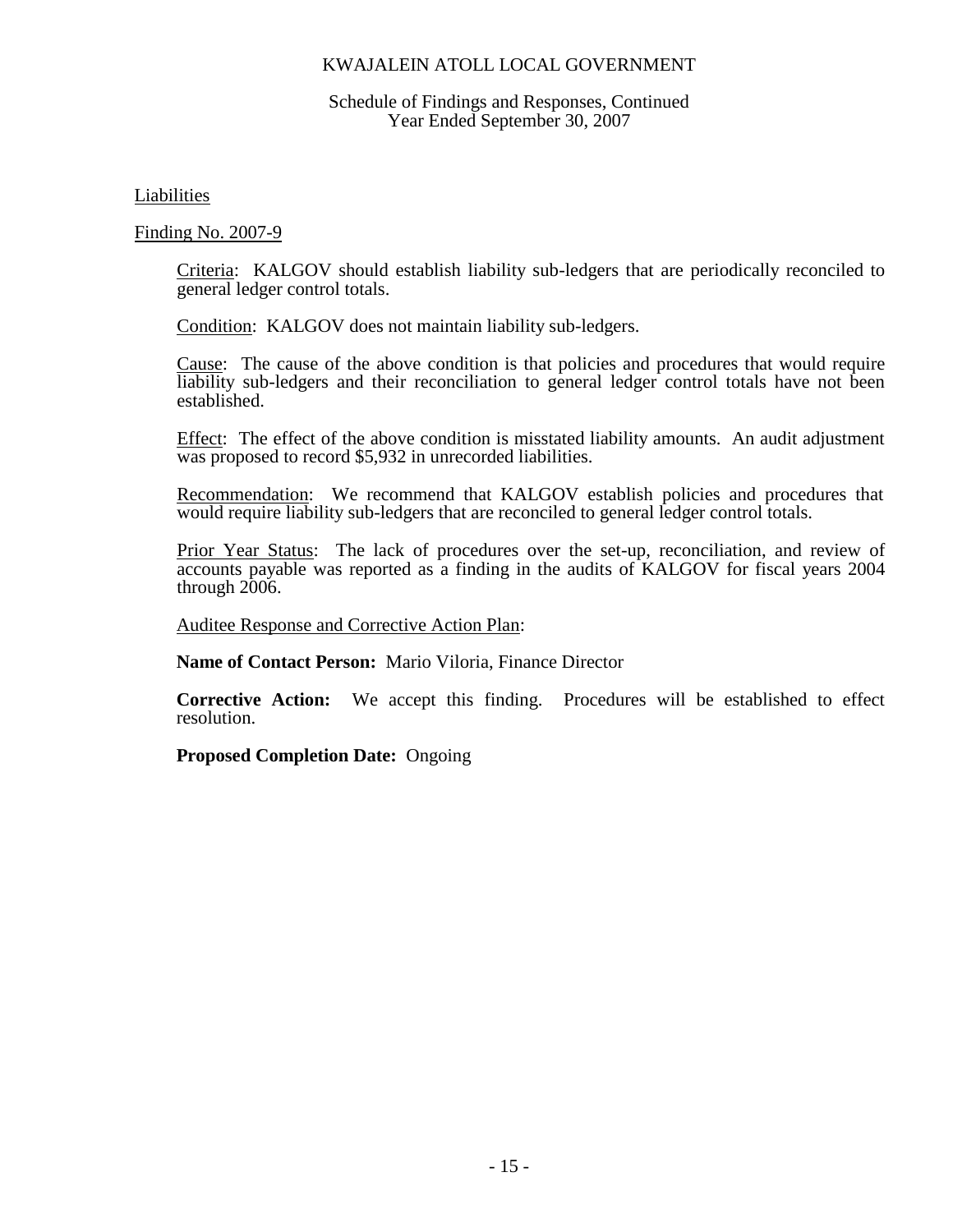### Schedule of Findings and Responses, Continued Year Ended September 30, 2007

Liabilities

Finding No. 2007-9

Criteria: KALGOV should establish liability sub-ledgers that are periodically reconciled to general ledger control totals.

Condition: KALGOV does not maintain liability sub-ledgers.

Cause: The cause of the above condition is that policies and procedures that would require liability sub-ledgers and their reconciliation to general ledger control totals have not been established.

Effect: The effect of the above condition is misstated liability amounts. An audit adjustment was proposed to record \$5,932 in unrecorded liabilities.

Recommendation: We recommend that KALGOV establish policies and procedures that would require liability sub-ledgers that are reconciled to general ledger control totals.

Prior Year Status: The lack of procedures over the set-up, reconciliation, and review of accounts payable was reported as a finding in the audits of KALGOV for fiscal years 2004 through 2006.

Auditee Response and Corrective Action Plan:

**Name of Contact Person:** Mario Viloria, Finance Director

**Corrective Action:** We accept this finding. Procedures will be established to effect resolution.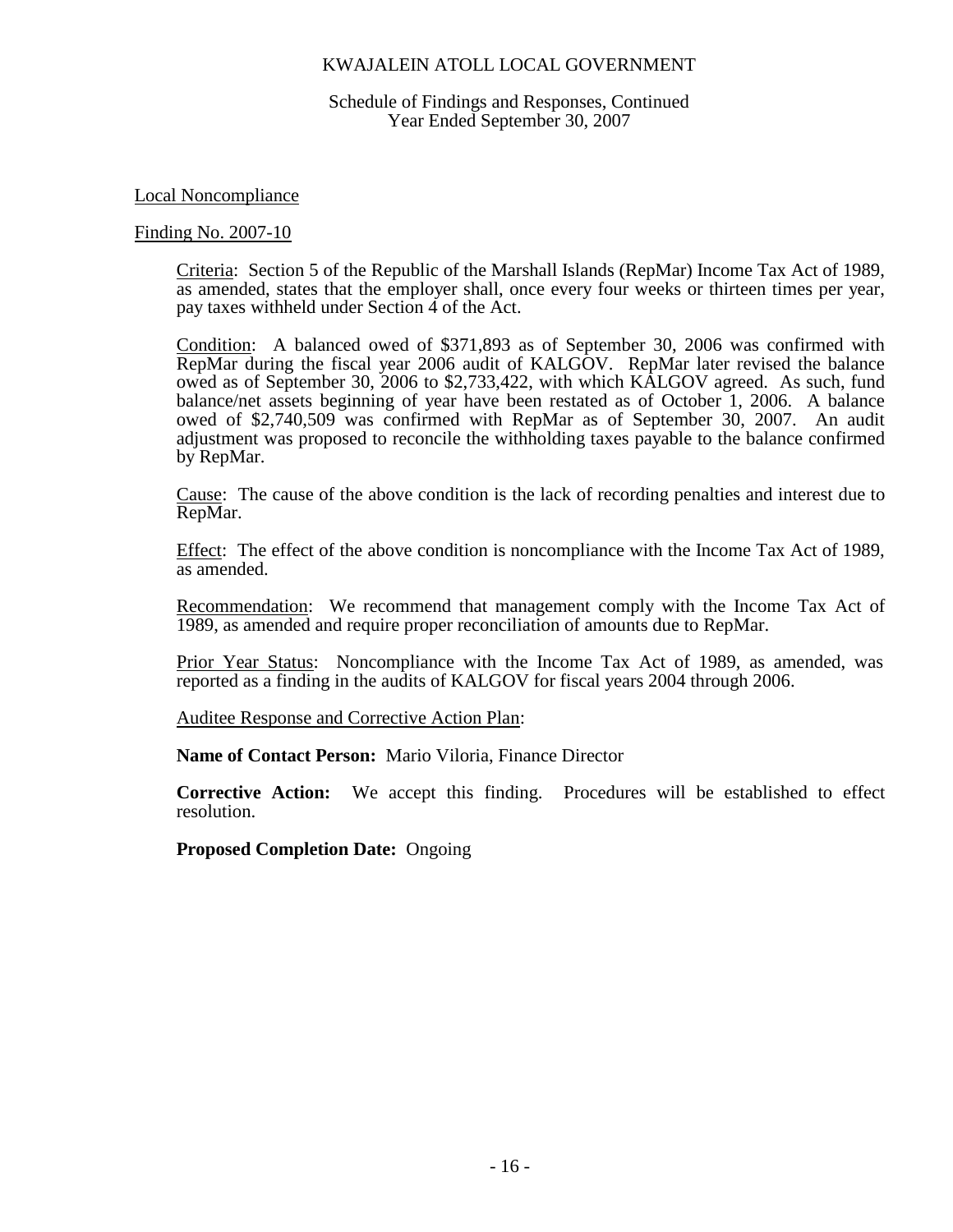Schedule of Findings and Responses, Continued Year Ended September 30, 2007

Local Noncompliance

#### Finding No. 2007-10

Criteria: Section 5 of the Republic of the Marshall Islands (RepMar) Income Tax Act of 1989, as amended, states that the employer shall, once every four weeks or thirteen times per year, pay taxes withheld under Section 4 of the Act.

Condition: A balanced owed of \$371,893 as of September 30, 2006 was confirmed with RepMar during the fiscal year 2006 audit of KALGOV. RepMar later revised the balance owed as of September 30, 2006 to \$2,733,422, with which KALGOV agreed. As such, fund balance/net assets beginning of year have been restated as of October 1, 2006. A balance owed of \$2,740,509 was confirmed with RepMar as of September 30, 2007. An audit adjustment was proposed to reconcile the withholding taxes payable to the balance confirmed by RepMar.

Cause: The cause of the above condition is the lack of recording penalties and interest due to RepMar.

Effect: The effect of the above condition is noncompliance with the Income Tax Act of 1989, as amended.

Recommendation: We recommend that management comply with the Income Tax Act of 1989, as amended and require proper reconciliation of amounts due to RepMar.

Prior Year Status: Noncompliance with the Income Tax Act of 1989, as amended, was reported as a finding in the audits of KALGOV for fiscal years 2004 through 2006.

Auditee Response and Corrective Action Plan:

**Name of Contact Person:** Mario Viloria, Finance Director

**Corrective Action:** We accept this finding. Procedures will be established to effect resolution.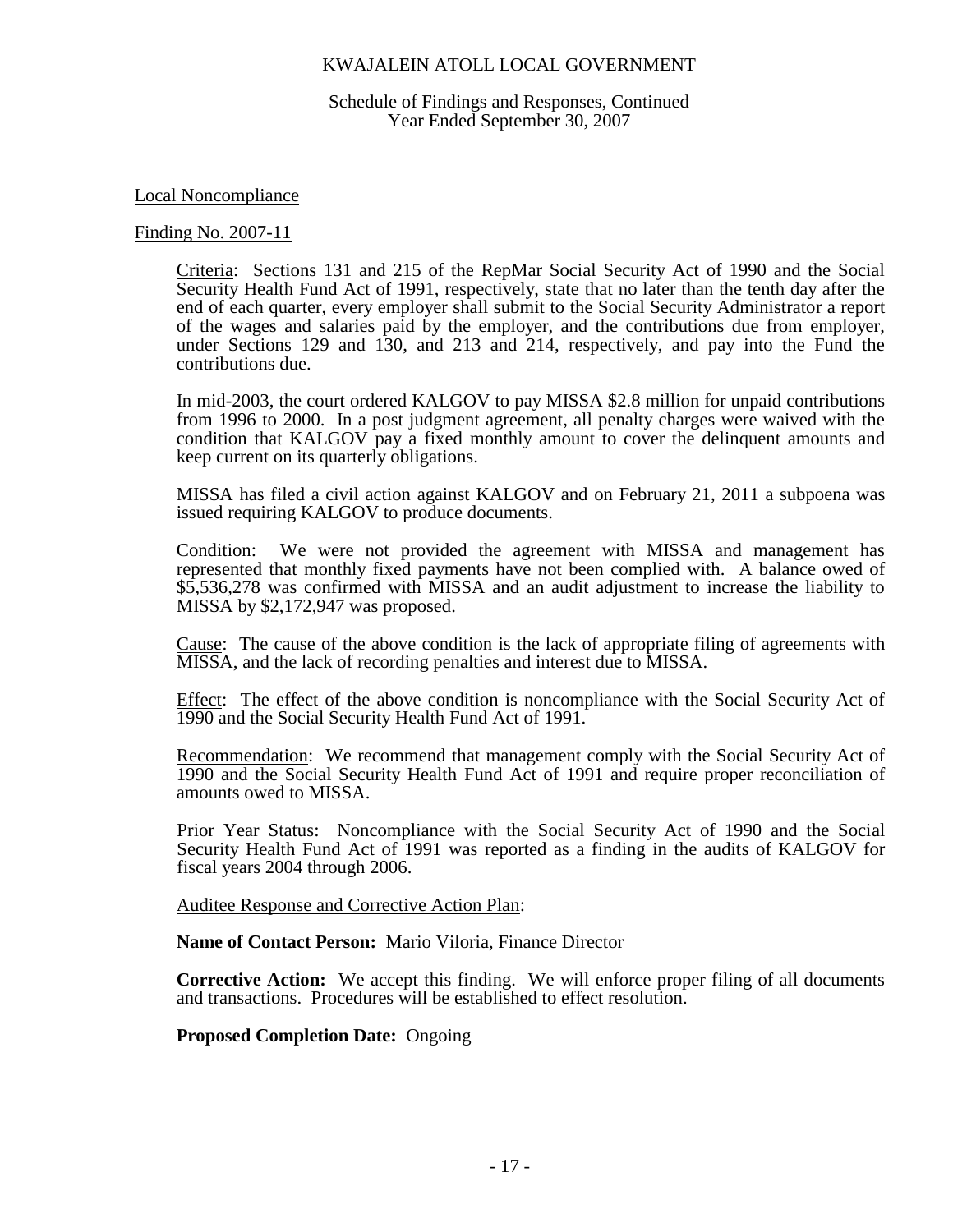Schedule of Findings and Responses, Continued Year Ended September 30, 2007

Local Noncompliance

#### Finding No. 2007-11

Criteria: Sections 131 and 215 of the RepMar Social Security Act of 1990 and the Social Security Health Fund Act of 1991, respectively, state that no later than the tenth day after the end of each quarter, every employer shall submit to the Social Security Administrator a report of the wages and salaries paid by the employer, and the contributions due from employer, under Sections 129 and 130, and 213 and 214, respectively, and pay into the Fund the contributions due.

In mid-2003, the court ordered KALGOV to pay MISSA \$2.8 million for unpaid contributions from 1996 to 2000. In a post judgment agreement, all penalty charges were waived with the condition that KALGOV pay a fixed monthly amount to cover the delinquent amounts and keep current on its quarterly obligations.

MISSA has filed a civil action against KALGOV and on February 21, 2011 a subpoena was issued requiring KALGOV to produce documents.

Condition: We were not provided the agreement with MISSA and management has represented that monthly fixed payments have not been complied with. A balance owed of \$5,536,278 was confirmed with MISSA and an audit adjustment to increase the liability to MISSA by \$2,172,947 was proposed.

Cause: The cause of the above condition is the lack of appropriate filing of agreements with MISSA, and the lack of recording penalties and interest due to MISSA.

Effect: The effect of the above condition is noncompliance with the Social Security Act of 1990 and the Social Security Health Fund Act of 1991.

Recommendation: We recommend that management comply with the Social Security Act of 1990 and the Social Security Health Fund Act of 1991 and require proper reconciliation of amounts owed to MISSA.

Prior Year Status: Noncompliance with the Social Security Act of 1990 and the Social Security Health Fund Act of 1991 was reported as a finding in the audits of KALGOV for fiscal years 2004 through 2006.

Auditee Response and Corrective Action Plan:

**Name of Contact Person:** Mario Viloria, Finance Director

**Corrective Action:** We accept this finding. We will enforce proper filing of all documents and transactions. Procedures will be established to effect resolution.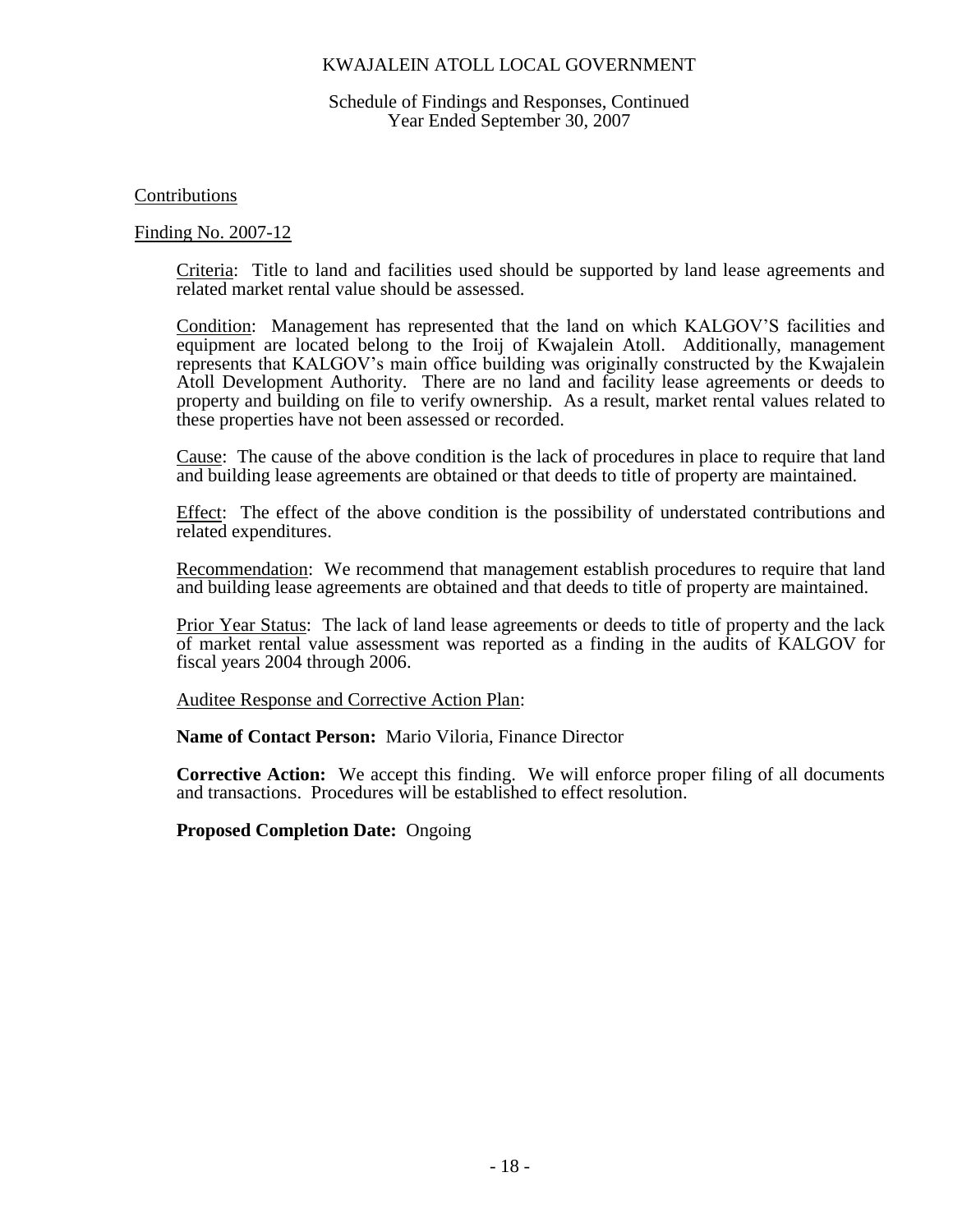#### Schedule of Findings and Responses, Continued Year Ended September 30, 2007

### Contributions

### Finding No. 2007-12

Criteria: Title to land and facilities used should be supported by land lease agreements and related market rental value should be assessed.

Condition: Management has represented that the land on which KALGOV'S facilities and equipment are located belong to the Iroij of Kwajalein Atoll. Additionally, management represents that KALGOV's main office building was originally constructed by the Kwajalein Atoll Development Authority. There are no land and facility lease agreements or deeds to property and building on file to verify ownership. As a result, market rental values related to these properties have not been assessed or recorded.

Cause: The cause of the above condition is the lack of procedures in place to require that land and building lease agreements are obtained or that deeds to title of property are maintained.

Effect: The effect of the above condition is the possibility of understated contributions and related expenditures.

Recommendation: We recommend that management establish procedures to require that land and building lease agreements are obtained and that deeds to title of property are maintained.

Prior Year Status: The lack of land lease agreements or deeds to title of property and the lack of market rental value assessment was reported as a finding in the audits of KALGOV for fiscal years 2004 through 2006.

Auditee Response and Corrective Action Plan:

**Name of Contact Person:** Mario Viloria, Finance Director

**Corrective Action:** We accept this finding. We will enforce proper filing of all documents and transactions. Procedures will be established to effect resolution.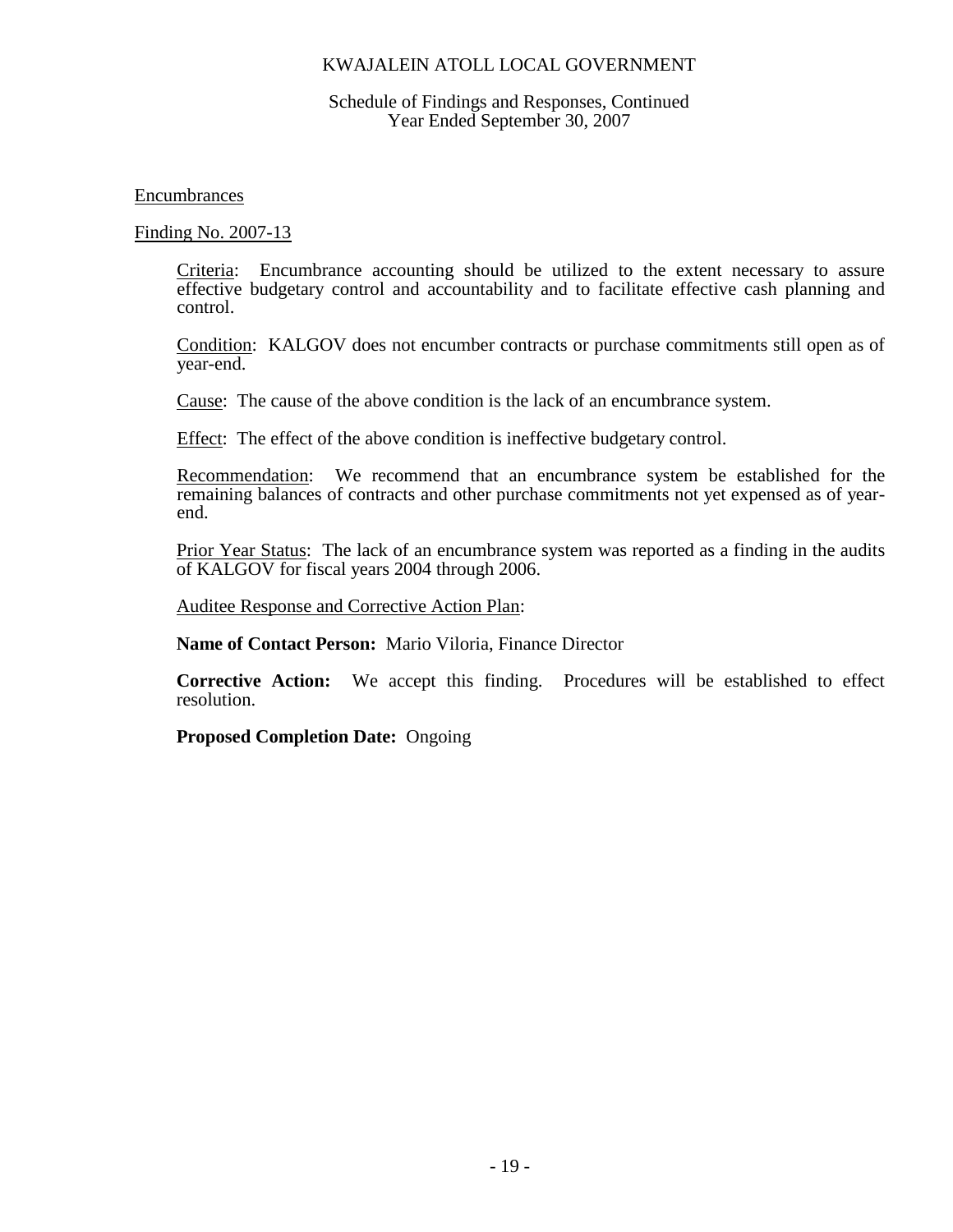### Schedule of Findings and Responses, Continued Year Ended September 30, 2007

Encumbrances

Finding No. 2007-13

Criteria: Encumbrance accounting should be utilized to the extent necessary to assure effective budgetary control and accountability and to facilitate effective cash planning and control.

Condition: KALGOV does not encumber contracts or purchase commitments still open as of year-end.

Cause: The cause of the above condition is the lack of an encumbrance system.

Effect: The effect of the above condition is ineffective budgetary control.

Recommendation: We recommend that an encumbrance system be established for the remaining balances of contracts and other purchase commitments not yet expensed as of yearend.

Prior Year Status: The lack of an encumbrance system was reported as a finding in the audits of KALGOV for fiscal years 2004 through 2006.

Auditee Response and Corrective Action Plan:

**Name of Contact Person:** Mario Viloria, Finance Director

**Corrective Action:** We accept this finding. Procedures will be established to effect resolution.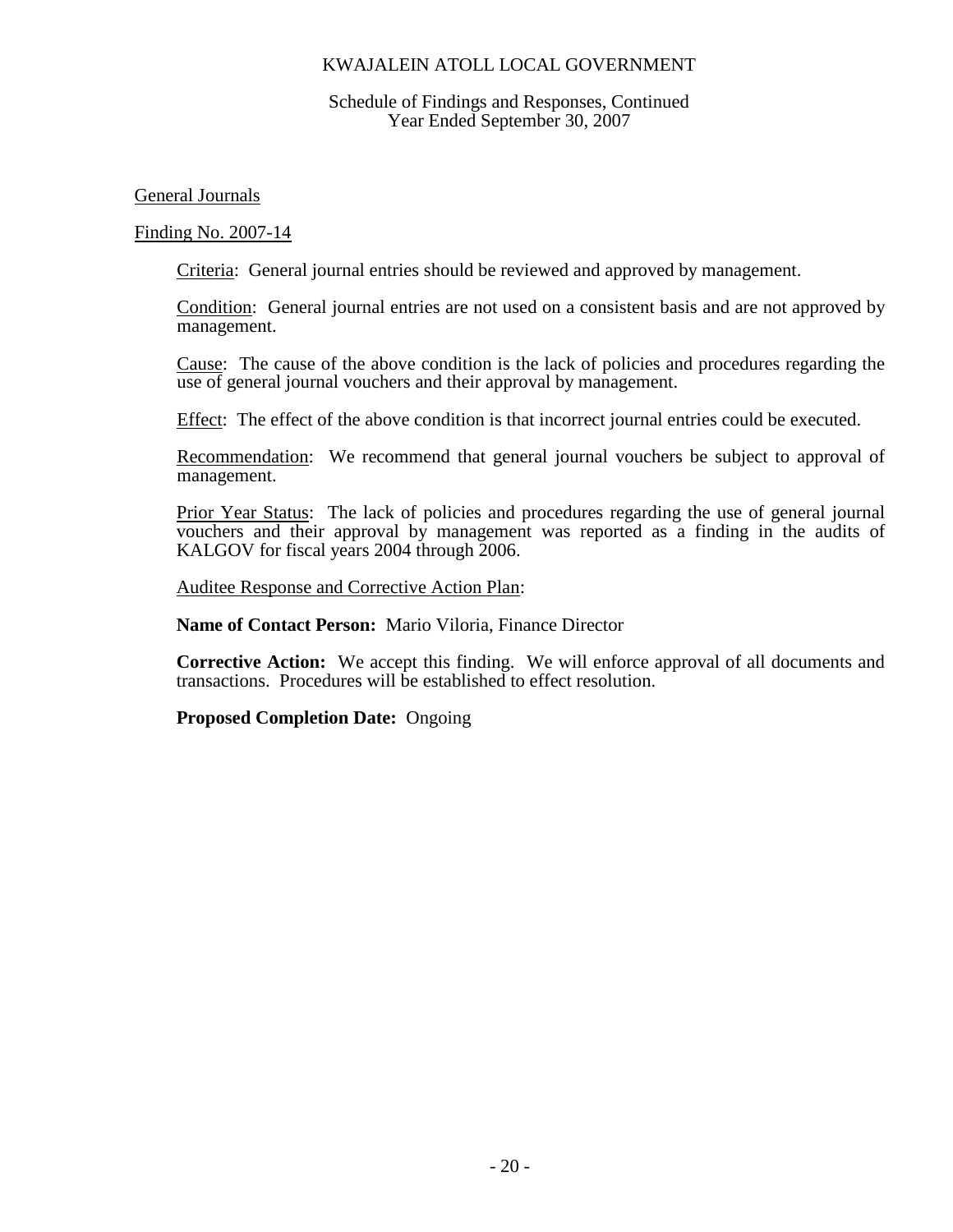### Schedule of Findings and Responses, Continued Year Ended September 30, 2007

General Journals

Finding No. 2007-14

Criteria: General journal entries should be reviewed and approved by management.

Condition: General journal entries are not used on a consistent basis and are not approved by management.

Cause: The cause of the above condition is the lack of policies and procedures regarding the use of general journal vouchers and their approval by management.

Effect: The effect of the above condition is that incorrect journal entries could be executed.

Recommendation: We recommend that general journal vouchers be subject to approval of management.

Prior Year Status: The lack of policies and procedures regarding the use of general journal vouchers and their approval by management was reported as a finding in the audits of KALGOV for fiscal years 2004 through 2006.

Auditee Response and Corrective Action Plan:

**Name of Contact Person:** Mario Viloria, Finance Director

**Corrective Action:** We accept this finding. We will enforce approval of all documents and transactions. Procedures will be established to effect resolution.